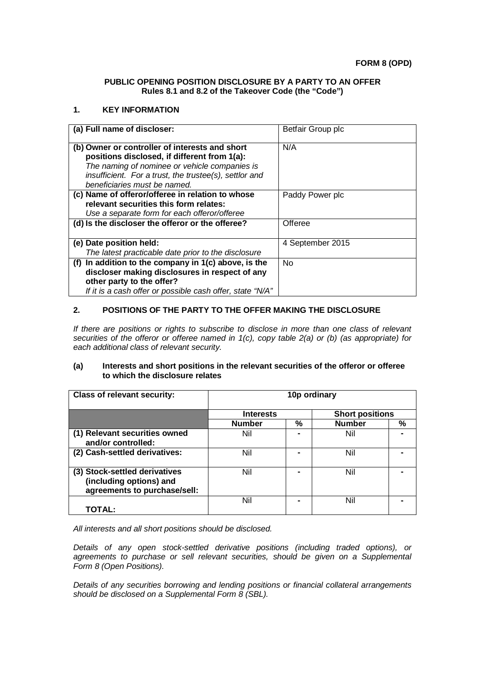#### **PUBLIC OPENING POSITION DISCLOSURE BY A PARTY TO AN OFFER Rules 8.1 and 8.2 of the Takeover Code (the "Code")**

#### **1. KEY INFORMATION**

| (a) Full name of discloser:                                                                                                                                                                                                               | Betfair Group plc |
|-------------------------------------------------------------------------------------------------------------------------------------------------------------------------------------------------------------------------------------------|-------------------|
| (b) Owner or controller of interests and short<br>positions disclosed, if different from 1(a):<br>The naming of nominee or vehicle companies is<br>insufficient. For a trust, the trustee(s), settlor and<br>beneficiaries must be named. | N/A               |
| (c) Name of offeror/offeree in relation to whose<br>relevant securities this form relates:<br>Use a separate form for each offeror/offeree                                                                                                | Paddy Power plc   |
| (d) Is the discloser the offeror or the offeree?                                                                                                                                                                                          | Offeree           |
| (e) Date position held:<br>The latest practicable date prior to the disclosure                                                                                                                                                            | 4 September 2015  |
| (f) In addition to the company in $1(c)$ above, is the<br>discloser making disclosures in respect of any<br>other party to the offer?<br>If it is a cash offer or possible cash offer, state "N/A"                                        | No                |

# **2. POSITIONS OF THE PARTY TO THE OFFER MAKING THE DISCLOSURE**

*If there are positions or rights to subscribe to disclose in more than one class of relevant securities of the offeror or offeree named in 1(c), copy table 2(a) or (b) (as appropriate) for each additional class of relevant security.*

#### **(a) Interests and short positions in the relevant securities of the offeror or offeree to which the disclosure relates**

| <b>Class of relevant security:</b>                                                       | 10p ordinary     |   |                        |   |
|------------------------------------------------------------------------------------------|------------------|---|------------------------|---|
|                                                                                          | <b>Interests</b> |   | <b>Short positions</b> |   |
|                                                                                          | <b>Number</b>    | % | <b>Number</b>          | % |
| (1) Relevant securities owned<br>and/or controlled:                                      | Nil              |   | Nil                    |   |
| (2) Cash-settled derivatives:                                                            | Nil              |   | Nil                    |   |
| (3) Stock-settled derivatives<br>(including options) and<br>agreements to purchase/sell: | Nil              |   | Nil                    |   |
| TOTAL:                                                                                   | Nil              |   | Nil                    |   |

*All interests and all short positions should be disclosed.*

*Details of any open stock-settled derivative positions (including traded options), or agreements to purchase or sell relevant securities, should be given on a Supplemental Form 8 (Open Positions).*

*Details of any securities borrowing and lending positions or financial collateral arrangements should be disclosed on a Supplemental Form 8 (SBL).*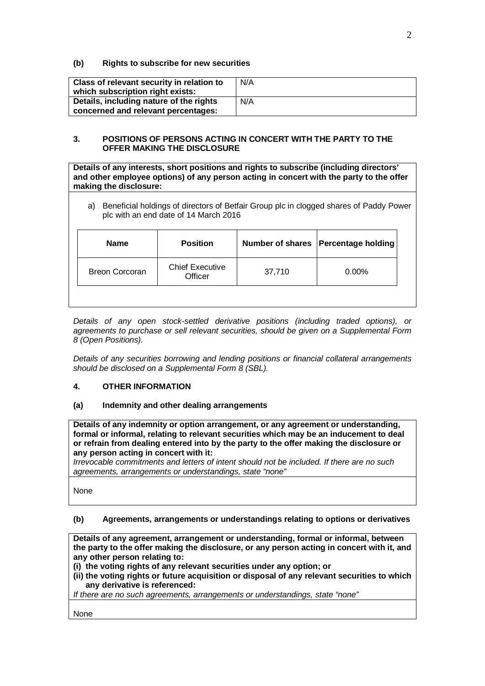### **(b) Rights to subscribe for new securities**

| Class of relevant security in relation to<br>which subscription right exists: | N/A |
|-------------------------------------------------------------------------------|-----|
| Details, including nature of the rights                                       | N/A |
| concerned and relevant percentages:                                           |     |

#### **3. POSITIONS OF PERSONS ACTING IN CONCERT WITH THE PARTY TO THE OFFER MAKING THE DISCLOSURE**

**Details of any interests, short positions and rights to subscribe (including directors' and other employee options) of any person acting in concert with the party to the offer making the disclosure:**

a) Beneficial holdings of directors of Betfair Group plc in clogged shares of Paddy Power plc with an end date of 14 March 2016

| <b>Name</b>           | <b>Position</b>                   |        | Number of shares   Percentage holding |
|-----------------------|-----------------------------------|--------|---------------------------------------|
| <b>Breon Corcoran</b> | <b>Chief Executive</b><br>Officer | 37,710 | $0.00\%$                              |

*Details of any open stock-settled derivative positions (including traded options), or agreements to purchase or sell relevant securities, should be given on a Supplemental Form 8 (Open Positions).*

*Details of any securities borrowing and lending positions or financial collateral arrangements should be disclosed on a Supplemental Form 8 (SBL).*

### **4. OTHER INFORMATION**

### **(a) Indemnity and other dealing arrangements**

**Details of any indemnity or option arrangement, or any agreement or understanding, formal or informal, relating to relevant securities which may be an inducement to deal or refrain from dealing entered into by the party to the offer making the disclosure or any person acting in concert with it:**

*Irrevocable commitments and letters of intent should not be included. If there are no such agreements, arrangements or understandings, state "none"*

None

# **(b) Agreements, arrangements or understandings relating to options or derivatives**

**Details of any agreement, arrangement or understanding, formal or informal, between the party to the offer making the disclosure, or any person acting in concert with it, and any other person relating to:**

**(i) the voting rights of any relevant securities under any option; or**

**(ii) the voting rights or future acquisition or disposal of any relevant securities to which any derivative is referenced:**

*If there are no such agreements, arrangements or understandings, state "none"*

None